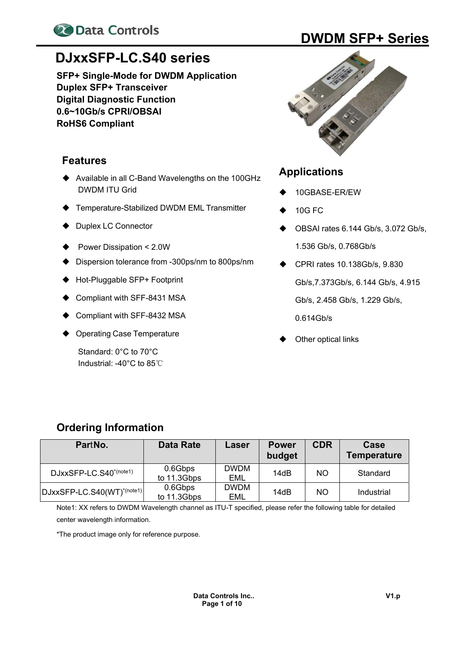

# **DJxxSFP-LC.S40 series**

**SFP+ Single-Mode for DWDM Application Duplex SFP+ Transceiver Digital Diagnostic Function 0.6~10Gb/s CPRI/OBSAI RoHS6 Compliant** 

## **Features**

- ◆ Available in all C-Band Wavelengths on the 100GHz DWDM ITU Grid
- ◆ Temperature-Stabilized DWDM EML Transmitter
- Duplex LC Connector
- Power Dissipation < 2.0W
- Dispersion tolerance from -300ps/nm to 800ps/nm
- ◆ Hot-Pluggable SFP+ Footprint
- ♦ Compliant with SFF-8431 MSA
- Compliant with SFF-8432 MSA
- Operating Case Temperature

Standard: 0°C to 70°C Industrial: -40°C to 85℃



### **Applications**

- 10GBASE-ER/EW
- 10G FC
- OBSAI rates 6.144 Gb/s, 3.072 Gb/s, 1.536 Gb/s, 0.768Gb/s
- CPRI rates 10.138Gb/s, 9.830 Gb/s,7.373Gb/s, 6.144 Gb/s, 4.915 Gb/s, 2.458 Gb/s, 1.229 Gb/s, 0.614Gb/s
- Other optical links

# **Ordering Information**

| PartNo.                                | Data Rate              | Laser              | <b>Power</b><br>budget | <b>CDR</b> | Case<br><b>Temperature</b> |
|----------------------------------------|------------------------|--------------------|------------------------|------------|----------------------------|
| DJxxSFP-LC.S40 <sup>*(note1)</sup>     | 0.6Gbps<br>to 11.3Gbps | <b>DWDM</b><br>EML | 14dB                   | NO.        | Standard                   |
| DJxxSFP-LC.S40(WT) <sup>*(note1)</sup> | 0.6Gbps<br>to 11.3Gbps | <b>DWDM</b><br>EML | 14dB                   | <b>NO</b>  | Industrial                 |

Note1: XX refers to DWDM Wavelength channel as ITU-T specified, please refer the following table for detailed center wavelength information.

\*The product image only for reference purpose.

# **20 Data Controls DWDM SFP+ Series**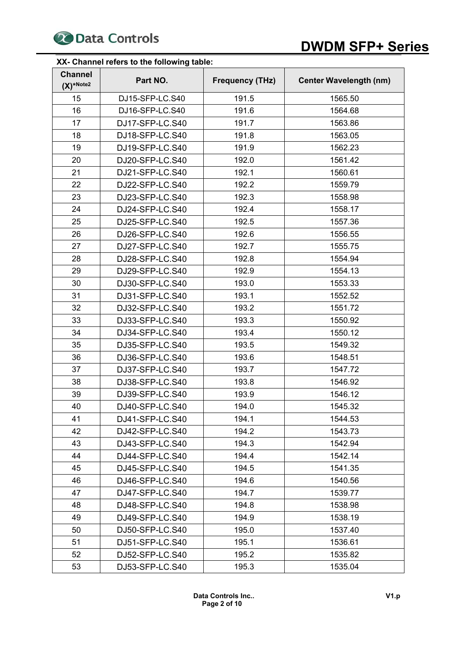

# **20 Data Controls DWDM SFP+ Series**

#### **XX- Channel refers to the following table:**

| <b>Channel</b><br>$(X)^*$ Note2 | Part NO.        | <b>Frequency (THz)</b> | <b>Center Wavelength (nm)</b> |
|---------------------------------|-----------------|------------------------|-------------------------------|
| 15                              | DJ15-SFP-LC.S40 | 191.5                  | 1565.50                       |
| 16                              | DJ16-SFP-LC.S40 | 191.6                  | 1564.68                       |
| 17                              | DJ17-SFP-LC.S40 | 191.7                  | 1563.86                       |
| 18                              | DJ18-SFP-LC.S40 | 191.8                  | 1563.05                       |
| 19                              | DJ19-SFP-LC.S40 | 191.9                  | 1562.23                       |
| 20                              | DJ20-SFP-LC.S40 | 192.0                  | 1561.42                       |
| 21                              | DJ21-SFP-LC.S40 | 192.1                  | 1560.61                       |
| 22                              | DJ22-SFP-LC.S40 | 192.2                  | 1559.79                       |
| 23                              | DJ23-SFP-LC.S40 | 192.3                  | 1558.98                       |
| 24                              | DJ24-SFP-LC.S40 | 192.4                  | 1558.17                       |
| 25                              | DJ25-SFP-LC.S40 | 192.5                  | 1557.36                       |
| 26                              | DJ26-SFP-LC.S40 | 192.6                  | 1556.55                       |
| 27                              | DJ27-SFP-LC.S40 | 192.7                  | 1555.75                       |
| 28                              | DJ28-SFP-LC.S40 | 192.8                  | 1554.94                       |
| 29                              | DJ29-SFP-LC.S40 | 192.9                  | 1554.13                       |
| 30                              | DJ30-SFP-LC.S40 | 193.0                  | 1553.33                       |
| 31                              | DJ31-SFP-LC.S40 | 193.1                  | 1552.52                       |
| 32                              | DJ32-SFP-LC.S40 | 193.2                  | 1551.72                       |
| 33                              | DJ33-SFP-LC.S40 | 193.3                  | 1550.92                       |
| 34                              | DJ34-SFP-LC.S40 | 193.4                  | 1550.12                       |
| 35                              | DJ35-SFP-LC.S40 | 193.5                  | 1549.32                       |
| 36                              | DJ36-SFP-LC.S40 | 193.6                  | 1548.51                       |
| 37                              | DJ37-SFP-LC.S40 | 193.7                  | 1547.72                       |
| 38                              | DJ38-SFP-LC.S40 | 193.8                  | 1546.92                       |
| 39                              | DJ39-SFP-LC.S40 | 193.9                  | 1546.12                       |
| 40                              | DJ40-SFP-LC.S40 | 194.0                  | 1545.32                       |
| 41                              | DJ41-SFP-LC.S40 | 194.1                  | 1544.53                       |
| 42                              | DJ42-SFP-LC.S40 | 194.2                  | 1543.73                       |
| 43                              | DJ43-SFP-LC.S40 | 194.3                  | 1542.94                       |
| 44                              | DJ44-SFP-LC.S40 | 194.4                  | 1542.14                       |
| 45                              | DJ45-SFP-LC.S40 | 194.5                  | 1541.35                       |
| 46                              | DJ46-SFP-LC.S40 | 194.6                  | 1540.56                       |
| 47                              | DJ47-SFP-LC.S40 | 194.7                  | 1539.77                       |
| 48                              | DJ48-SFP-LC.S40 | 194.8                  | 1538.98                       |
| 49                              | DJ49-SFP-LC.S40 | 194.9                  | 1538.19                       |
| 50                              | DJ50-SFP-LC.S40 | 195.0                  | 1537.40                       |
| 51                              | DJ51-SFP-LC.S40 | 195.1                  | 1536.61                       |
| 52                              | DJ52-SFP-LC.S40 | 195.2                  | 1535.82                       |
| 53                              | DJ53-SFP-LC.S40 | 195.3                  | 1535.04                       |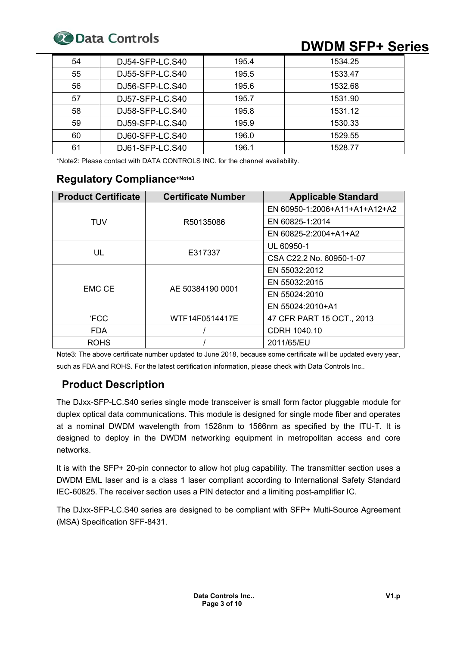

# **20 Data Controls DWDM SFP+ Series**

| 54 | DJ54-SFP-LC.S40 | 195.4 | 1534.25 |
|----|-----------------|-------|---------|
| 55 | DJ55-SFP-LC.S40 | 195.5 | 1533.47 |
| 56 | DJ56-SFP-LC.S40 | 195.6 | 1532.68 |
| 57 | DJ57-SFP-LC.S40 | 195.7 | 1531.90 |
| 58 | DJ58-SFP-LC.S40 | 195.8 | 1531.12 |
| 59 | DJ59-SFP-LC.S40 | 195.9 | 1530.33 |
| 60 | DJ60-SFP-LC.S40 | 196.0 | 1529.55 |
| 61 | DJ61-SFP-LC.S40 | 196.1 | 1528.77 |

\*Note2: Please contact with DATA CONTROLS INC. for the channel availability.

# **Regulatory Compliance\*Note3**

| <b>Product Certificate</b> | <b>Certificate Number</b> | <b>Applicable Standard</b>    |  |
|----------------------------|---------------------------|-------------------------------|--|
|                            |                           | EN 60950-1:2006+A11+A1+A12+A2 |  |
| <b>TUV</b>                 | R50135086                 | EN 60825-1:2014               |  |
|                            |                           | EN 60825-2:2004+A1+A2         |  |
|                            |                           | UL 60950-1                    |  |
| UL                         | E317337                   | CSA C22.2 No. 60950-1-07      |  |
|                            |                           | EN 55032:2012                 |  |
| EMC CE                     |                           | EN 55032:2015                 |  |
|                            | AE 50384190 0001          | EN 55024:2010                 |  |
|                            |                           | EN 55024:2010+A1              |  |
| <b>FCC</b>                 | WTF14F0514417E            | 47 CFR PART 15 OCT., 2013     |  |
| <b>FDA</b>                 |                           | CDRH 1040.10                  |  |
| <b>ROHS</b>                |                           | 2011/65/EU                    |  |

Note3: The above certificate number updated to June 2018, because some certificate will be updated every year, such as FDA and ROHS. For the latest certification information, please check with Data Controls Inc..

# **Product Description**

The DJxx-SFP-LC.S40 series single mode transceiver is small form factor pluggable module for duplex optical data communications. This module is designed for single mode fiber and operates at a nominal DWDM wavelength from 1528nm to 1566nm as specified by the ITU-T. It is designed to deploy in the DWDM networking equipment in metropolitan access and core networks.

It is with the SFP+ 20-pin connector to allow hot plug capability. The transmitter section uses a DWDM EML laser and is a class 1 laser compliant according to International Safety Standard IEC-60825. The receiver section uses a PIN detector and a limiting post-amplifier IC.

The DJxx-SFP-LC.S40 series are designed to be compliant with SFP+ Multi-Source Agreement (MSA) Specification SFF-8431.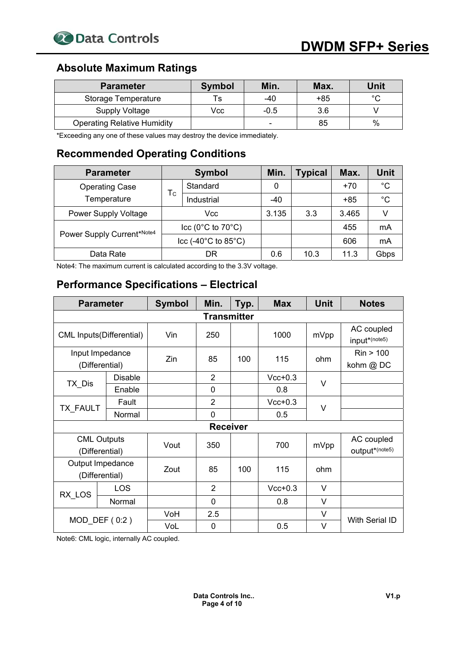

# **Absolute Maximum Ratings**

| <b>Parameter</b>                   | <b>Symbol</b> | Min.                     | Max. | Unit   |
|------------------------------------|---------------|--------------------------|------|--------|
| Storage Temperature                | Ts            | $-40$                    | +85  | $\sim$ |
| Supply Voltage                     | Vcc           | $-0.5$                   | 3.6  |        |
| <b>Operating Relative Humidity</b> |               | $\overline{\phantom{0}}$ | 85   | $\%$   |

\*Exceeding any one of these values may destroy the device immediately.

# **Recommended Operating Conditions**

| <b>Parameter</b>            | <b>Symbol</b>                               |            | Min.  | Typical | Max.  | <b>Unit</b> |
|-----------------------------|---------------------------------------------|------------|-------|---------|-------|-------------|
| <b>Operating Case</b>       |                                             | Standard   | 0     |         | $+70$ | °С          |
| Temperature                 | Тc                                          | Industrial | $-40$ |         | $+85$ | °C          |
| <b>Power Supply Voltage</b> | Vcc                                         |            | 3.135 | 3.3     | 3.465 |             |
| Power Supply Current*Note4  | $ cc (0^{\circ}C \text{ to } 70^{\circ}C) $ |            |       |         | 455   | mA          |
|                             | $ ccc(-40^{\circ}C\text{ to }85^{\circ}C) $ |            |       |         | 606   | mA          |
| Data Rate                   |                                             | DR         | 0.6   | 10.3    | 11.3  | Gbps        |

Note4: The maximum current is calculated according to the 3.3V voltage.

# **Performance Specifications – Electrical**

| <b>Parameter</b>                     |                                   | <b>Symbol</b> | Min.            | Typ. | <b>Max</b> | <b>Unit</b> | <b>Notes</b>                 |  |
|--------------------------------------|-----------------------------------|---------------|-----------------|------|------------|-------------|------------------------------|--|
| <b>Transmitter</b>                   |                                   |               |                 |      |            |             |                              |  |
|                                      | <b>CML Inputs(Differential)</b>   | Vin           | 250             |      | 1000       | mVpp        | AC coupled<br>input*(note5)  |  |
|                                      | Input Impedance<br>(Differential) | Zin           | 85              | 100  | 115        | ohm         | Rin > 100<br>kohm @ DC       |  |
|                                      | <b>Disable</b>                    |               | $\overline{2}$  |      | $Vcc+0.3$  | V           |                              |  |
| TX Dis                               | Enable                            |               | 0               |      | 0.8        |             |                              |  |
|                                      | Fault                             |               | $\overline{2}$  |      | $Vcc+0.3$  | $\vee$      |                              |  |
| TX_FAULT                             | Normal                            |               | 0               |      | 0.5        |             |                              |  |
|                                      |                                   |               | <b>Receiver</b> |      |            |             |                              |  |
| <b>CML Outputs</b><br>(Differential) |                                   | Vout          | 350             |      | 700        | mVpp        | AC coupled<br>output*(note5) |  |
| Output Impedance<br>(Differential)   |                                   | Zout          | 85              | 100  | 115        | ohm         |                              |  |
|                                      | <b>LOS</b>                        |               | $\overline{2}$  |      | $Vcc+0.3$  | $\vee$      |                              |  |
| RX LOS                               | Normal                            |               | 0               |      | 0.8        | V           |                              |  |
|                                      |                                   | VoH           | 2.5             |      |            | $\vee$      |                              |  |
|                                      | $MOD$ DEF $(0:2)$                 | VoL           | $\mathbf 0$     |      | 0.5        | $\vee$      | With Serial ID               |  |

Note6: CML logic, internally AC coupled.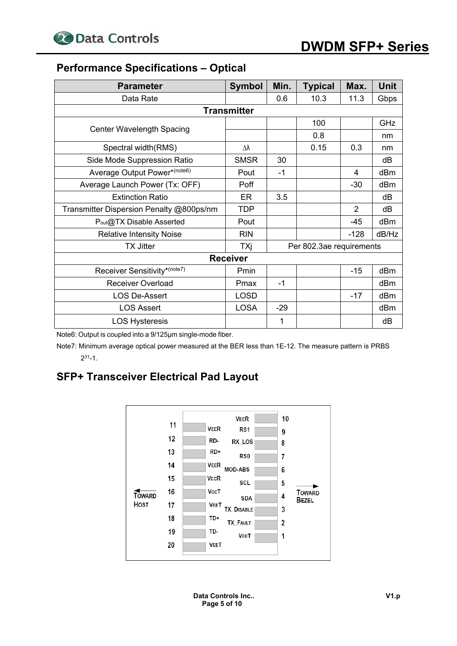# **Performance Specifications – Optical**

| <b>Parameter</b>                         | <b>Symbol</b>      | Min.  | <b>Typical</b>           | Max.           | Unit  |
|------------------------------------------|--------------------|-------|--------------------------|----------------|-------|
| Data Rate                                |                    | 0.6   | 10.3                     | 11.3           | Gbps  |
|                                          | <b>Transmitter</b> |       |                          |                |       |
|                                          |                    |       | 100                      |                | GHz   |
| <b>Center Wavelength Spacing</b>         |                    |       | 0.8                      |                | nm    |
| Spectral width(RMS)                      | Δλ                 |       | 0.15                     | 0.3            | nm    |
| Side Mode Suppression Ratio              | <b>SMSR</b>        | 30    |                          |                | dB    |
| Average Output Power*(note6)             | Pout               | $-1$  |                          | 4              | dBm   |
| Average Launch Power (Tx: OFF)           | Poff               |       |                          | $-30$          | dBm   |
| <b>Extinction Ratio</b>                  | ER                 | 3.5   |                          |                | dB    |
| Transmitter Dispersion Penalty @800ps/nm | <b>TDP</b>         |       |                          | $\overline{2}$ | dB    |
| Pout@TX Disable Asserted                 | Pout               |       |                          | $-45$          | dBm   |
| <b>Relative Intensity Noise</b>          | <b>RIN</b>         |       |                          | $-128$         | dB/Hz |
| <b>TX Jitter</b>                         | TXj                |       | Per 802.3ae requirements |                |       |
|                                          | <b>Receiver</b>    |       |                          |                |       |
| Receiver Sensitivity*(note7)             | Pmin               |       |                          | $-15$          | dBm   |
| <b>Receiver Overload</b>                 | Pmax               | $-1$  |                          |                | dBm   |
| <b>LOS De-Assert</b>                     | <b>LOSD</b>        |       |                          | $-17$          | dBm   |
| <b>LOS Assert</b>                        | <b>LOSA</b>        | $-29$ |                          |                | dBm   |
| <b>LOS Hysteresis</b>                    |                    | 1     |                          |                | dB    |

Note6: Output is coupled into a 9/125μm single-mode fiber.

Note7: Minimum average optical power measured at the BER less than 1E-12. The measure pattern is PRBS  $2^{31} - 1$ .

# **SFP+ Transceiver Electrical Pad Layout**



**Data Controls Inc.. Page 5 of 10**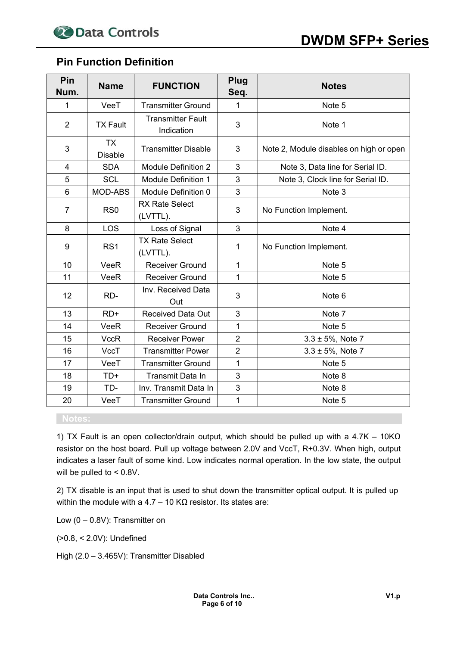## **Pin Function Definition**

| Pin<br>Num.    | <b>Name</b>                 | <b>FUNCTION</b>                        | Plug<br>Seq.   | <b>Notes</b>                            |
|----------------|-----------------------------|----------------------------------------|----------------|-----------------------------------------|
| 1              | VeeT                        | <b>Transmitter Ground</b>              | 1              | Note 5                                  |
| $\overline{2}$ | <b>TX Fault</b>             | <b>Transmitter Fault</b><br>Indication | 3              | Note 1                                  |
| 3              | <b>TX</b><br><b>Disable</b> | <b>Transmitter Disable</b>             | 3              | Note 2, Module disables on high or open |
| $\overline{4}$ | <b>SDA</b>                  | <b>Module Definition 2</b>             | 3              | Note 3, Data line for Serial ID.        |
| 5              | <b>SCL</b>                  | <b>Module Definition 1</b>             | 3              | Note 3, Clock line for Serial ID.       |
| 6              | <b>MOD-ABS</b>              | Module Definition 0                    | 3              | Note 3                                  |
| $\overline{7}$ | RS <sub>0</sub>             | <b>RX Rate Select</b><br>(LVTTL).      | 3              | No Function Implement.                  |
| 8              | LOS                         | Loss of Signal                         | 3              | Note 4                                  |
| 9              | RS <sub>1</sub>             | <b>TX Rate Select</b><br>(LVTTL).      | 1              | No Function Implement.                  |
| 10             | VeeR                        | <b>Receiver Ground</b>                 | $\mathbf{1}$   | Note 5                                  |
| 11             | VeeR                        | <b>Receiver Ground</b>                 | 1              | Note 5                                  |
| 12             | RD-                         | Inv. Received Data<br>Out              | 3              | Note <sub>6</sub>                       |
| 13             | $RD+$                       | <b>Received Data Out</b>               | 3              | Note 7                                  |
| 14             | VeeR                        | <b>Receiver Ground</b>                 | 1              | Note 5                                  |
| 15             | <b>VccR</b>                 | <b>Receiver Power</b>                  | $\overline{2}$ | $3.3 \pm 5\%$ , Note 7                  |
| 16             | VccT                        | <b>Transmitter Power</b>               | $\overline{2}$ | $3.3 \pm 5%$ , Note 7                   |
| 17             | VeeT                        | <b>Transmitter Ground</b>              | $\mathbf{1}$   | Note 5                                  |
| 18             | $TD+$                       | Transmit Data In                       | 3              | Note 8                                  |
| 19             | TD-                         | Inv. Transmit Data In                  | 3              | Note 8                                  |
| 20             | VeeT                        | <b>Transmitter Ground</b>              | $\mathbf 1$    | Note 5                                  |

1) TX Fault is an open collector/drain output, which should be pulled up with a 4.7K – 10KΩ resistor on the host board. Pull up voltage between 2.0V and VccT, R+0.3V. When high, output indicates a laser fault of some kind. Low indicates normal operation. In the low state, the output will be pulled to < 0.8V.

2) TX disable is an input that is used to shut down the transmitter optical output. It is pulled up within the module with a 4.7 – 10 KΩ resistor. Its states are:

Low (0 – 0.8V): Transmitter on

(>0.8, < 2.0V): Undefined

High (2.0 – 3.465V): Transmitter Disabled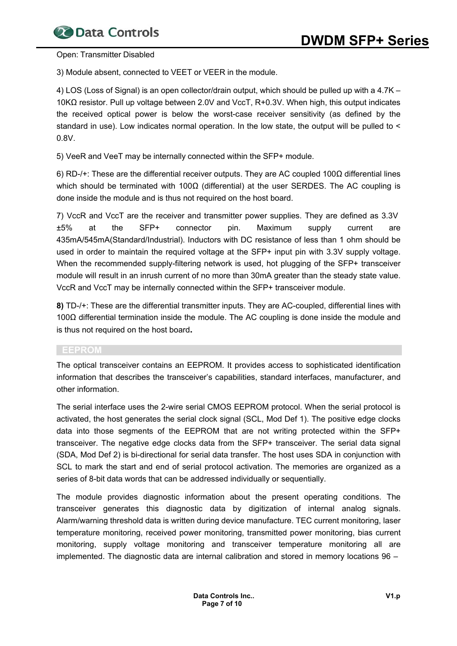Open: Transmitter Disabled

3) Module absent, connected to VEET or VEER in the module.

4) LOS (Loss of Signal) is an open collector/drain output, which should be pulled up with a 4.7K – 10KΩ resistor. Pull up voltage between 2.0V and VccT, R+0.3V. When high, this output indicates the received optical power is below the worst-case receiver sensitivity (as defined by the standard in use). Low indicates normal operation. In the low state, the output will be pulled to < 0.8V.

5) VeeR and VeeT may be internally connected within the SFP+ module.

6) RD-/+: These are the differential receiver outputs. They are AC coupled 100Ω differential lines which should be terminated with 100 $\Omega$  (differential) at the user SERDES. The AC coupling is done inside the module and is thus not required on the host board.

7) VccR and VccT are the receiver and transmitter power supplies. They are defined as 3.3V ±5% at the SFP+ connector pin. Maximum supply current are 435mA/545mA(Standard/Industrial). Inductors with DC resistance of less than 1 ohm should be used in order to maintain the required voltage at the SFP+ input pin with 3.3V supply voltage. When the recommended supply-filtering network is used, hot plugging of the SFP+ transceiver module will result in an inrush current of no more than 30mA greater than the steady state value. VccR and VccT may be internally connected within the SFP+ transceiver module.

**8)** TD-/+: These are the differential transmitter inputs. They are AC-coupled, differential lines with 100Ω differential termination inside the module. The AC coupling is done inside the module and is thus not required on the host board**.** 

#### **EEPROM**

The optical transceiver contains an EEPROM. It provides access to sophisticated identification information that describes the transceiver's capabilities, standard interfaces, manufacturer, and other information.

The serial interface uses the 2-wire serial CMOS EEPROM protocol. When the serial protocol is activated, the host generates the serial clock signal (SCL, Mod Def 1). The positive edge clocks data into those segments of the EEPROM that are not writing protected within the SFP+ transceiver. The negative edge clocks data from the SFP+ transceiver. The serial data signal (SDA, Mod Def 2) is bi-directional for serial data transfer. The host uses SDA in conjunction with SCL to mark the start and end of serial protocol activation. The memories are organized as a series of 8-bit data words that can be addressed individually or sequentially.

The module provides diagnostic information about the present operating conditions. The transceiver generates this diagnostic data by digitization of internal analog signals. Alarm/warning threshold data is written during device manufacture. TEC current monitoring, laser temperature monitoring, received power monitoring, transmitted power monitoring, bias current monitoring, supply voltage monitoring and transceiver temperature monitoring all are implemented. The diagnostic data are internal calibration and stored in memory locations 96 –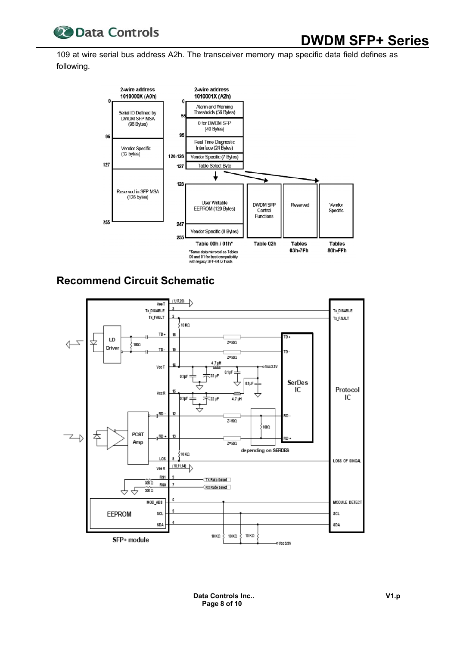

# **20 Data Controls DWDM SFP+ Series**

109 at wire serial bus address A2h. The transceiver memory map specific data field defines as following.



# **Recommend Circuit Schematic**

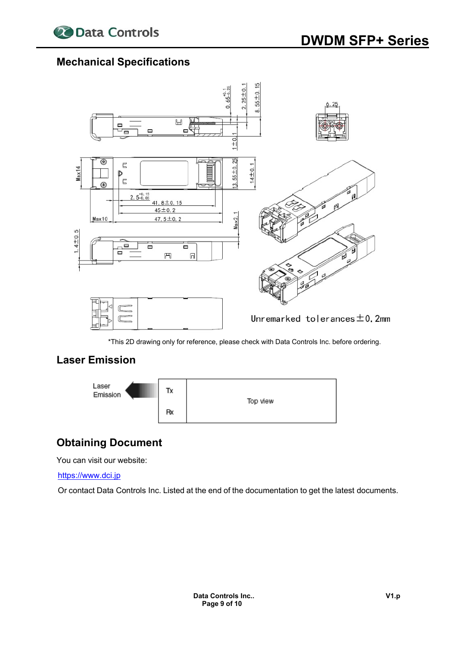

## **Mechanical Specifications**



\*This 2D drawing only for reference, please check with Data Controls Inc. before ordering.

# **Laser Emission**



# **Obtaining Document**

You can visit our website:

https://www.dci.jp

Or contact Data Controls Inc. Listed at the end of the documentation to get the latest documents.